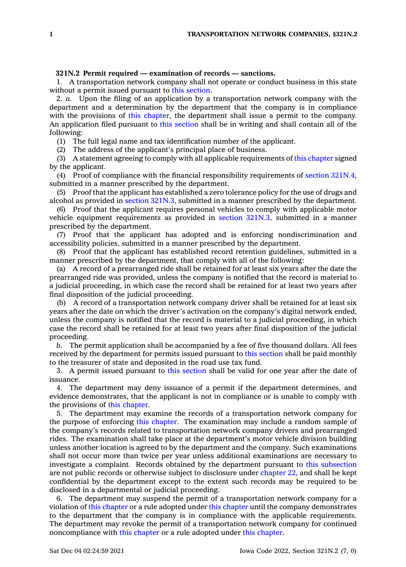## **321N.2 Permit required — examination of records — sanctions.**

1. A transportation network company shall not operate or conduct business in this state without a permit issued pursuant to this [section](https://www.legis.iowa.gov/docs/code/321N.2.pdf).

2. *a.* Upon the filing of an application by <sup>a</sup> transportation network company with the department and <sup>a</sup> determination by the department that the company is in compliance with the provisions of this [chapter](https://www.legis.iowa.gov/docs/code//321N.pdf), the department shall issue <sup>a</sup> permit to the company. An application filed pursuant to this [section](https://www.legis.iowa.gov/docs/code/321N.2.pdf) shall be in writing and shall contain all of the following:

(1) The full legal name and tax identification number of the applicant.

(2) The address of the applicant's principal place of business.

(3) A statement agreeing to comply with all applicable requirements of this [chapter](https://www.legis.iowa.gov/docs/code//321N.pdf) signed by the applicant.

(4) Proof of compliance with the financial responsibility requirements of section [321N.4](https://www.legis.iowa.gov/docs/code/321N.4.pdf), submitted in <sup>a</sup> manner prescribed by the department.

(5) Proof that the applicant has established <sup>a</sup> zero tolerance policy for the use of drugs and alcohol as provided in section [321N.3](https://www.legis.iowa.gov/docs/code/321N.3.pdf), submitted in <sup>a</sup> manner prescribed by the department.

(6) Proof that the applicant requires personal vehicles to comply with applicable motor vehicle equipment requirements as provided in section [321N.3](https://www.legis.iowa.gov/docs/code/321N.3.pdf), submitted in <sup>a</sup> manner prescribed by the department.

(7) Proof that the applicant has adopted and is enforcing nondiscrimination and accessibility policies, submitted in <sup>a</sup> manner prescribed by the department.

(8) Proof that the applicant has established record retention guidelines, submitted in <sup>a</sup> manner prescribed by the department, that comply with all of the following:

(a) A record of <sup>a</sup> prearranged ride shall be retained for at least six years after the date the prearranged ride was provided, unless the company is notified that the record is material to <sup>a</sup> judicial proceeding, in which case the record shall be retained for at least two years after final disposition of the judicial proceeding.

(b) A record of <sup>a</sup> transportation network company driver shall be retained for at least six years after the date on which the driver's activation on the company's digital network ended, unless the company is notified that the record is material to <sup>a</sup> judicial proceeding, in which case the record shall be retained for at least two years after final disposition of the judicial proceeding.

*b.* The permit application shall be accompanied by <sup>a</sup> fee of five thousand dollars. All fees received by the department for permits issued pursuant to this [section](https://www.legis.iowa.gov/docs/code/321N.2.pdf) shall be paid monthly to the treasurer of state and deposited in the road use tax fund.

3. A permit issued pursuant to this [section](https://www.legis.iowa.gov/docs/code/321N.2.pdf) shall be valid for one year after the date of issuance.

4. The department may deny issuance of <sup>a</sup> permit if the department determines, and evidence demonstrates, that the applicant is not in compliance or is unable to comply with the provisions of this [chapter](https://www.legis.iowa.gov/docs/code//321N.pdf).

5. The department may examine the records of <sup>a</sup> transportation network company for the purpose of enforcing this [chapter](https://www.legis.iowa.gov/docs/code//321N.pdf). The examination may include <sup>a</sup> random sample of the company's records related to transportation network company drivers and prearranged rides. The examination shall take place at the department's motor vehicle division building unless another location is agreed to by the department and the company. Such examinations shall not occur more than twice per year unless additional examinations are necessary to investigate <sup>a</sup> complaint. Records obtained by the department pursuant to this [subsection](https://www.legis.iowa.gov/docs/code/321N.2.pdf) are not public records or otherwise subject to disclosure under [chapter](https://www.legis.iowa.gov/docs/code//22.pdf) 22, and shall be kept confidential by the department except to the extent such records may be required to be disclosed in <sup>a</sup> departmental or judicial proceeding.

6. The department may suspend the permit of <sup>a</sup> transportation network company for <sup>a</sup> violation of this [chapter](https://www.legis.iowa.gov/docs/code//321N.pdf) or <sup>a</sup> rule adopted under this [chapter](https://www.legis.iowa.gov/docs/code//321N.pdf) until the company demonstrates to the department that the company is in compliance with the applicable requirements. The department may revoke the permit of <sup>a</sup> transportation network company for continued noncompliance with this [chapter](https://www.legis.iowa.gov/docs/code//321N.pdf) or <sup>a</sup> rule adopted under this [chapter](https://www.legis.iowa.gov/docs/code//321N.pdf).